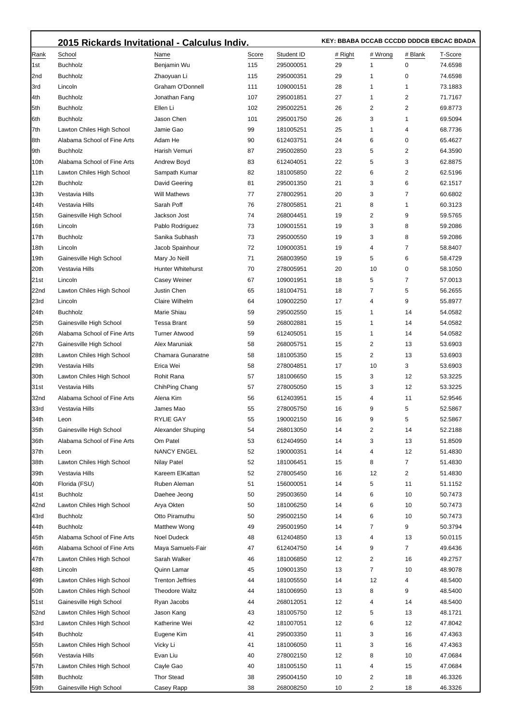|             | 2015 Rickards Invitational - Calculus Indiv. |                          |          |            | KEY: BBABA DCCAB CCCDD DDDCB EBCAC BDADA |         |          |                    |
|-------------|----------------------------------------------|--------------------------|----------|------------|------------------------------------------|---------|----------|--------------------|
| Rank        | School                                       | Name                     | Score    | Student ID | # Right                                  | # Wrong | # Blank  | T-Score            |
| 1st         | <b>Buchholz</b>                              | Benjamin Wu              | 115      | 295000051  | 29                                       | 1       | 0        | 74.6598            |
| 2nd         | <b>Buchholz</b>                              | Zhaoyuan Li              | 115      | 295000351  | 29                                       | 1       | 0        | 74.6598            |
| 3rd         | Lincoln                                      | Graham O'Donnell         | 111      | 109000151  | 28                                       | 1       | 1        | 73.1883            |
| 4th         | <b>Buchholz</b>                              | Jonathan Fang            | 107      | 295001851  | 27                                       | 1       | 2        | 71.7167            |
| 5th         | <b>Buchholz</b>                              | Ellen Li                 | 102      | 295002251  | 26                                       | 2       | 2        | 69.8773            |
| 6th         | <b>Buchholz</b>                              | Jason Chen               | 101      | 295001750  | 26                                       | 3       | 1        | 69.5094            |
| 7th         | Lawton Chiles High School                    | Jamie Gao                | 99       | 181005251  | 25                                       | 1       | 4        | 68.7736            |
| 8th         | Alabama School of Fine Arts                  | Adam He                  | 90       | 612403751  | 24                                       | 6       | 0        | 65.4627            |
| 9th         | <b>Buchholz</b>                              | Harish Vemuri            | 87       | 295002850  | 23                                       | 5       | 2        | 64.3590            |
| 10th        | Alabama School of Fine Arts                  | Andrew Boyd              | 83       | 612404051  | 22                                       | 5       | 3        | 62.8875            |
| 11th        | Lawton Chiles High School                    | Sampath Kumar            | 82       | 181005850  | 22                                       | 6       | 2        | 62.5196            |
| 12th        | <b>Buchholz</b>                              | David Geering            | 81       | 295001350  | 21                                       | 3       | 6        | 62.1517            |
| 13th        | Vestavia Hills                               | <b>Will Mathews</b>      | 77       | 278002951  | 20                                       | 3       | 7        | 60.6802            |
| 14th        | Vestavia Hills                               | Sarah Poff               | 76       | 278005851  | 21                                       | 8       | 1        | 60.3123            |
| 15th        | Gainesville High School                      | Jackson Jost             | 74       | 268004451  | 19                                       | 2       | 9        | 59.5765            |
| 16th        | Lincoln                                      | Pablo Rodriguez          | 73       | 109001551  | 19                                       | 3       | 8        | 59.2086            |
| 17th        | <b>Buchholz</b>                              | Sanika Subhash           | 73       | 295000550  | 19                                       | 3       | 8        | 59.2086            |
| 18th        | Lincoln                                      | Jacob Spainhour          | 72       | 109000351  | 19                                       | 4       | 7        | 58.8407            |
| 19th        | Gainesville High School                      | Mary Jo Neill            | 71       | 268003950  | 19                                       | 5       | 6        | 58.4729            |
| 20th        | Vestavia Hills                               | <b>Hunter Whitehurst</b> | 70       | 278005951  | 20                                       | 10      | 0        | 58.1050            |
| 21st        | Lincoln                                      | <b>Casey Weiner</b>      | 67       | 109001951  | 18                                       | 5       | 7        | 57.0013            |
| 22nd        | Lawton Chiles High School                    | Justin Chen              | 65       | 181004751  | 18                                       | 7       | 5        | 56.2655            |
| 23rd        | Lincoln                                      | Claire Wilhelm           | 64       | 109002250  | 17                                       | 4       | 9        | 55.8977            |
| 24th        | <b>Buchholz</b>                              | Marie Shiau              | 59       | 295002550  | 15                                       | 1       | 14       | 54.0582            |
| 25th        | Gainesville High School                      | <b>Tessa Brant</b>       | 59       | 268002881  | 15                                       | 1       | 14       | 54.0582            |
| 26th        | Alabama School of Fine Arts                  | <b>Turner Atwood</b>     | 59       | 612405051  | 15                                       | 1       | 14       | 54.0582            |
| 27th        | Gainesville High School                      | Alex Maruniak            | 58       | 268005751  | 15                                       | 2       | 13       | 53.6903            |
| 28th        | Lawton Chiles High School                    | Chamara Gunaratne        | 58       | 181005350  | 15                                       | 2       | 13       | 53.6903            |
| 29th        | Vestavia Hills                               | Erica Wei                | 58       | 278004851  | 17                                       | 10      | 3        | 53.6903            |
| 30th        | Lawton Chiles High School                    | Rohit Rana               | 57       | 181006650  | 15                                       | 3       | 12       | 53.3225            |
| 31st        | Vestavia Hills                               | ChihPing Chang           | 57       | 278005050  | 15                                       | 3       | 12       | 53.3225            |
| 32nd        | Alabama School of Fine Arts                  | Alena Kim                | 56       | 612403951  | 15                                       | 4       | 11       | 52.9546            |
| 33rd        | Vestavia Hills                               | James Mao                | 55       | 278005750  | 16                                       | 9       | 5        | 52.5867            |
| 34th        | Leon                                         | RYLIE GAY                | 55       | 190002150  | 16                                       | 9       | 5        | 52.5867            |
| 35th        | Gainesville High School                      | Alexander Shuping        | 54       | 268013050  | 14                                       | 2       | 14       | 52.2188            |
| 36th        | Alabama School of Fine Arts                  | Om Patel                 | 53       | 612404950  | 14                                       | 3       | 13       | 51.8509            |
| 37th        | Leon                                         | <b>NANCY ENGEL</b>       | 52       | 190000351  | 14                                       | 4       | 12       | 51.4830            |
| 38th        | Lawton Chiles High School                    | <b>Nilay Patel</b>       | 52       | 181006451  | 15                                       | 8       | 7        | 51.4830            |
| 39th        | Vestavia Hills                               | Kareem ElKattan          | 52       | 278005450  | 16                                       | 12      | 2        | 51.4830            |
| 40th        | Florida (FSU)                                | Ruben Aleman             | 51       | 156000051  | 14                                       | 5       | 11       | 51.1152            |
| 41st        | <b>Buchholz</b>                              | Daehee Jeong             | 50       | 295003650  | 14                                       | 6       | 10       | 50.7473            |
| 42nd        | Lawton Chiles High School                    | Arya Okten               | 50       | 181006250  | 14                                       | 6       | 10       | 50.7473            |
| 43rd        | <b>Buchholz</b>                              | Otto Piramuthu           | 50       | 295002150  | 14                                       | 6       | 10       | 50.7473            |
| 44th        | <b>Buchholz</b>                              | <b>Matthew Wong</b>      | 49       | 295001950  | 14                                       | 7       | 9        | 50.3794            |
| 45th        | Alabama School of Fine Arts                  | Noel Dudeck              | 48       | 612404850  | 13                                       | 4       | 13       | 50.0115            |
| 46th        | Alabama School of Fine Arts                  | Maya Samuels-Fair        | 47       | 612404750  | 14                                       | 9       | 7        | 49.6436            |
| 47th        | Lawton Chiles High School                    | Sarah Walker             | 46       | 181006850  | 12                                       | 2       | 16       | 49.2757            |
| 48th        | Lincoln                                      | Quinn Lamar              | 45       | 109001350  | 13                                       | 7       | 10       | 48.9078            |
| 49th        | Lawton Chiles High School                    | <b>Trenton Jeffries</b>  | 44       | 181005550  | 14                                       | 12      | 4        | 48.5400            |
| 50th        | Lawton Chiles High School                    | <b>Theodore Waltz</b>    | 44       | 181006950  | 13                                       | 8       | 9        | 48.5400            |
| 51st        | Gainesville High School                      | Ryan Jacobs              | 44       | 268012051  | 12                                       | 4       | 14       | 48.5400            |
|             |                                              |                          |          |            |                                          | 5       |          |                    |
| 52nd        | Lawton Chiles High School                    | Jason Kang               | 43       | 181005750  | 12<br>12                                 | 6       | 13       | 48.1721<br>47.8042 |
| 53rd        | Lawton Chiles High School                    | Katherine Wei            | 42       | 181007051  |                                          |         | 12       |                    |
| 54th        | <b>Buchholz</b>                              | Eugene Kim               | 41       | 295003350  | 11                                       | 3       | 16       | 47.4363            |
| 55th        | Lawton Chiles High School                    | Vicky Li                 | 41       | 181006050  | 11                                       | 3       | 16       | 47.4363            |
| 56th        | Vestavia Hills                               | Evan Liu                 | 40       | 278002150  | 12                                       | 8       | 10       | 47.0684            |
| 57th        | Lawton Chiles High School                    | Cayle Gao                | 40       | 181005150  | 11                                       | 4       | 15       | 47.0684            |
| 58th        | <b>Buchholz</b><br>Gainesville High School   | <b>Thor Stead</b>        | 38<br>38 | 295004150  | 10<br>10                                 | 2<br>2  | 18<br>18 | 46.3326<br>46.3326 |
| <b>59th</b> |                                              | Casey Rapp               |          | 268008250  |                                          |         |          |                    |